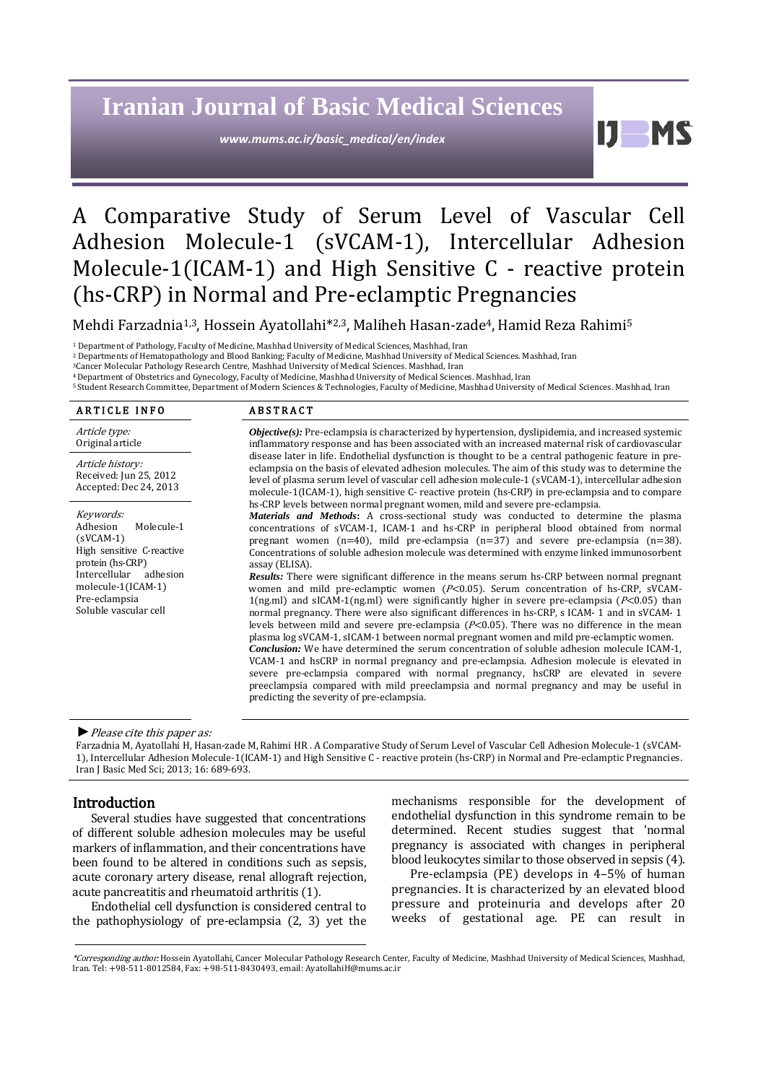# **Iranian Journal of Basic Medical Sciences**

*www.mums.ac.ir/basic\_medical/en/index*

Ш

# A Comparative Study of Serum Level of Vascular Cell Adhesion Molecule-1 (sVCAM-1), Intercellular Adhesion Molecule-1(ICAM-1) and High Sensitive C - reactive protein (hs-CRP) in Normal and Pre-eclamptic Pregnancies

Mehdi Farzadnia<sup>1,3</sup>, Hossein Ayatollahi<sup>\*2,3</sup>, Maliheh Hasan-zade<sup>4</sup>, Hamid Reza Rahimi<sup>5</sup>

<sup>1</sup> Department of Pathology, Faculty of Medicine, Mashhad University of Medical Sciences, Mashhad, Iran

<sup>2</sup> Departments of Hematopathology and Blood Banking; Faculty of Medicine, Mashhad University of Medical Sciences. Mashhad, Iran

3Cancer Molecular Pathology Research Centre, Mashhad University of Medical Sciences. Mashhad, Iran

4 Department of Obstetrics and Gynecology, Faculty of Medicine, Mashhad University of Medical Sciences. Mashhad, Iran 5 Student Research Committee, Department of Modern Sciences & Technologies, Faculty of Medicine, Mashhad University of Medical Sciences. Mashhad, Iran

## ARTICLE INFO ABSTRACT

Article type: Original article

Article history: Received: Jun 25, 2012 Accepted: Dec 24, 2013

Keywords: Adhesion Molecule-1 (sVCAM-1) High sensitive C-reactive protein (hs-CRP) Intercellular adhesion molecule-1(ICAM-1) Pre-eclampsia Soluble vascular cell

*Objective(s):* Pre-eclampsia is characterized by hypertension, dyslipidemia, and increased systemic inflammatory response and has been associated with an increased maternal risk of cardiovascular disease later in life. Endothelial dysfunction is thought to be a central pathogenic feature in preeclampsia on the basis of elevated adhesion molecules. The aim of this study was to determine the level of plasma serum level of vascular cell adhesion molecule-1 (sVCAM-1), intercellular adhesion molecule-1(ICAM-1), high sensitive C- reactive protein (hs-CRP) in pre-eclampsia and to compare hs-CRP levels between normal pregnant women, mild and severe pre-eclampsia.

*Materials and Methods***:** A cross-sectional study was conducted to determine the plasma concentrations of sVCAM-1, ICAM-1 and hs-CRP in peripheral blood obtained from normal pregnant women (n=40), mild pre-eclampsia (n=37) and severe pre-eclampsia (n=38). Concentrations of soluble adhesion molecule was determined with enzyme linked immunosorbent assay (ELISA).

*Results:* There were significant difference in the means serum hs-CRP between normal pregnant women and mild pre-eclamptic women  $(P< 0.05)$ . Serum concentration of hs-CRP, sVCAM-1(ng.ml) and sICAM-1(ng.ml) were significantly higher in severe pre-eclampsia ( $P<0.05$ ) than normal pregnancy. There were also significant differences in hs-CRP, s ICAM- 1 and in sVCAM- 1 levels between mild and severe pre-eclampsia ( $P<0.05$ ). There was no difference in the mean plasma log sVCAM-1, sICAM-1 between normal pregnant women and mild pre-eclamptic women. *Conclusion:* We have determined the serum concentration of soluble adhesion molecule ICAM-1, VCAM-1 and hsCRP in normal pregnancy and pre-eclampsia. Adhesion molecule is elevated in

severe pre-eclampsia compared with normal pregnancy, hsCRP are elevated in severe preeclampsia compared with mild preeclampsia and normal pregnancy and may be useful in predicting the severity of pre-eclampsia.

## *►*Please cite this paper as:

Farzadnia M, Ayatollahi H, Hasan-zade M,Rahimi HR . A Comparative Study of Serum Level of Vascular Cell Adhesion Molecule-1 (sVCAM-1), Intercellular Adhesion Molecule-1(ICAM-1) and High Sensitive C - reactive protein (hs-CRP) in Normal and Pre-eclamptic Pregnancies. Iran J Basic Med Sci; 2013; 16: 689-693.

## Introduction

Several studies have suggested that concentrations of different soluble adhesion molecules may be useful markers of inflammation, and their concentrations have been found to be altered in conditions such as sepsis, acute coronary artery disease, renal allograft rejection, acute pancreatitis and rheumatoid arthritis (1).

Endothelial cell dysfunction is considered central to the pathophysiology of pre-eclampsia (2, 3) yet the mechanisms responsible for the development of endothelial dysfunction in this syndrome remain to be determined. Recent studies suggest that 'normal pregnancy is associated with changes in peripheral blood leukocytes similar to those observed in sepsis (4).

Pre-eclampsia (PE) develops in 4–5% of human pregnancies. It is characterized by an elevated blood pressure and proteinuria and develops after 20 weeks of gestational age. PE can result in

<sup>\*</sup>Corresponding author:Hossein Ayatollahi, Cancer Molecular Pathology Research Center, Faculty of Medicine, Mashhad University of Medical Sciences, Mashhad, Iran. Tel: +98-511-8012584, Fax: +98-511-8430493, email[: AyatollahiH@mums.ac.ir](mailto:AyatollahiH@mums.ac.ir)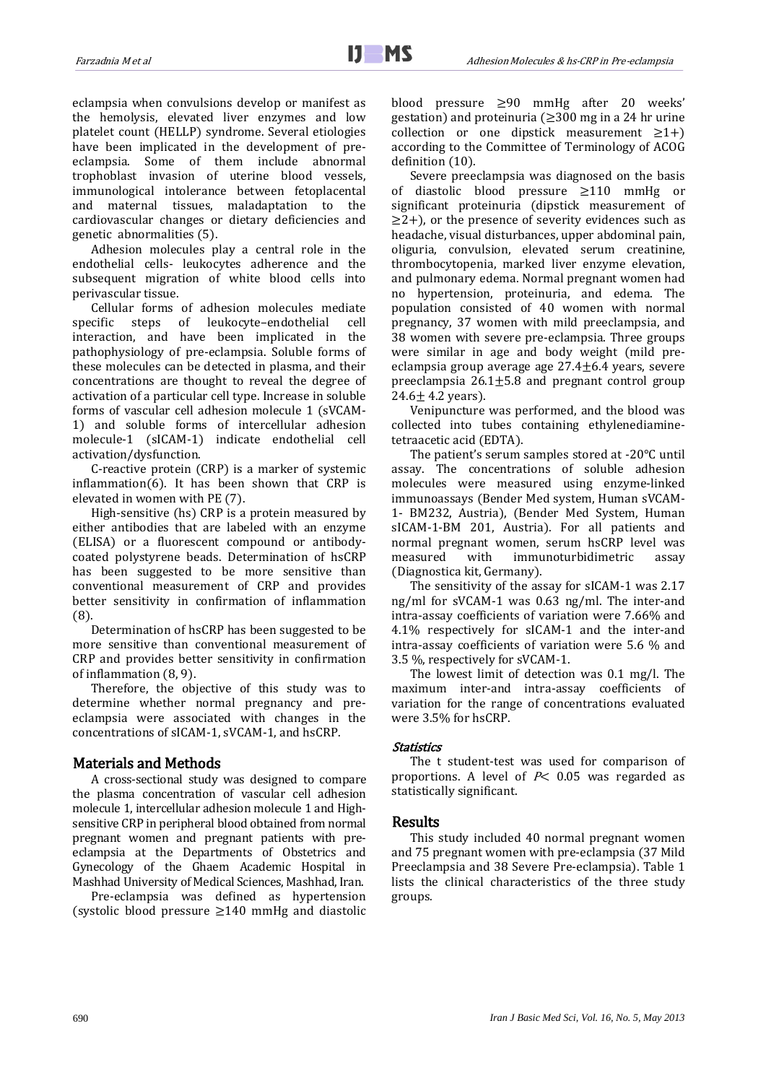eclampsia when convulsions develop or manifest as the hemolysis, elevated liver enzymes and low platelet count (HELLP) syndrome. Several etiologies have been implicated in the development of preeclampsia. Some of them include abnormal trophoblast invasion of uterine blood vessels, immunological intolerance between fetoplacental and maternal tissues, maladaptation to the cardiovascular changes or dietary deficiencies and genetic abnormalities (5).

Adhesion molecules play a central role in the endothelial cells- leukocytes adherence and the subsequent migration of white blood cells into perivascular tissue.

Cellular forms of adhesion molecules mediate<br>specific steps of leukocyte-endothelial cell steps of leukocyte-endothelial interaction, and have been implicated in the pathophysiology of pre-eclampsia. Soluble forms of these molecules can be detected in plasma, and their concentrations are thought to reveal the degree of activation of a particular cell type. Increase in soluble forms of vascular cell adhesion molecule 1 (sVCAM-1) and soluble forms of intercellular adhesion molecule-1 (sICAM-1) indicate endothelial cell activation/dysfunction.

C-reactive protein (CRP) is a marker of systemic inflammation(6). It has been shown that CRP is elevated in women with PE (7).

High-sensitive (hs) CRP is a protein measured by either antibodies that are labeled with an enzyme (ELISA) or a fluorescent compound or antibodycoated polystyrene beads. Determination of hsCRP has been suggested to be more sensitive than conventional measurement of CRP and provides better sensitivity in confirmation of inflammation (8).

Determination of hsCRP has been suggested to be more sensitive than conventional measurement of CRP and provides better sensitivity in confirmation of inflammation (8, 9).

Therefore, the objective of this study was to determine whether normal pregnancy and preeclampsia were associated with changes in the concentrations of sICAM-1, sVCAM-1, and hsCRP.

Materials and Methods<br>A cross-sectional study was designed to compare the plasma concentration of vascular cell adhesion molecule 1, intercellular adhesion molecule 1 and Highsensitive CRP in peripheral blood obtained from normal pregnant women and pregnant patients with preeclampsia at the Departments of Obstetrics and Gynecology of the Ghaem Academic Hospital in Mashhad University of Medical Sciences, Mashhad, Iran.

Pre-eclampsia was defined as hypertension (systolic blood pressure ≥140 mmHg and diastolic blood pressure ≥90 mmHg after 20 weeks' gestation) and proteinuria ( $\geq$ 300 mg in a 24 hr urine collection or one dipstick measurement  $\geq 1+$ ) according to the Committee of Terminology of ACOG definition (10).

Severe preeclampsia was diagnosed on the basis of diastolic blood pressure ≥110 mmHg or significant proteinuria (dipstick measurement of  $\geq$ 2+), or the presence of severity evidences such as headache, visual disturbances, upper abdominal pain, oliguria, convulsion, elevated serum creatinine, thrombocytopenia, marked liver enzyme elevation, and pulmonary edema. Normal pregnant women had no hypertension, proteinuria, and edema. The population consisted of 40 women with normal pregnancy, 37 women with mild preeclampsia, and 38 women with severe pre-eclampsia. Three groups were similar in age and body weight (mild preeclampsia group average age  $27.4 \pm 6.4$  years, severe preeclampsia  $26.1 \pm 5.8$  and pregnant control group  $24.6 \pm 4.2$  years).

Venipuncture was performed, and the blood was collected into tubes containing ethylenediaminetetraacetic acid (EDTA).

The patient's serum samples stored at -20°C until assay. The concentrations of soluble adhesion molecules were measured using enzyme-linked immunoassays (Bender Med system, Human sVCAM-1- BM232, Austria), (Bender Med System, Human sICAM-1-BM 201, Austria). For all patients and normal pregnant women, serum hsCRP level was<br>measured with immunoturbidimetric assay immunoturbidimetric (Diagnostica kit, Germany).

The sensitivity of the assay for sICAM-1 was 2.17 ng/ml for sVCAM-1 was 0.63 ng/ml. The inter-and intra-assay coefficients of variation were 7.66% and 4.1% respectively for sICAM-1 and the inter-and intra-assay coefficients of variation were 5.6 % and 3.5 %, respectively for sVCAM-1.

The lowest limit of detection was 0.1 mg/l. The maximum inter-and intra-assay coefficients of variation for the range of concentrations evaluated were 3.5% for hsCRP.

## Statistics

The t student-test was used for comparison of proportions. A level of  $P<$  0.05 was regarded as statistically significant.

**Results**<br>This study included 40 normal pregnant women and 75 pregnant women with pre-eclampsia (37 Mild Preeclampsia and 38 Severe Pre-eclampsia). Table 1 lists the clinical characteristics of the three study groups.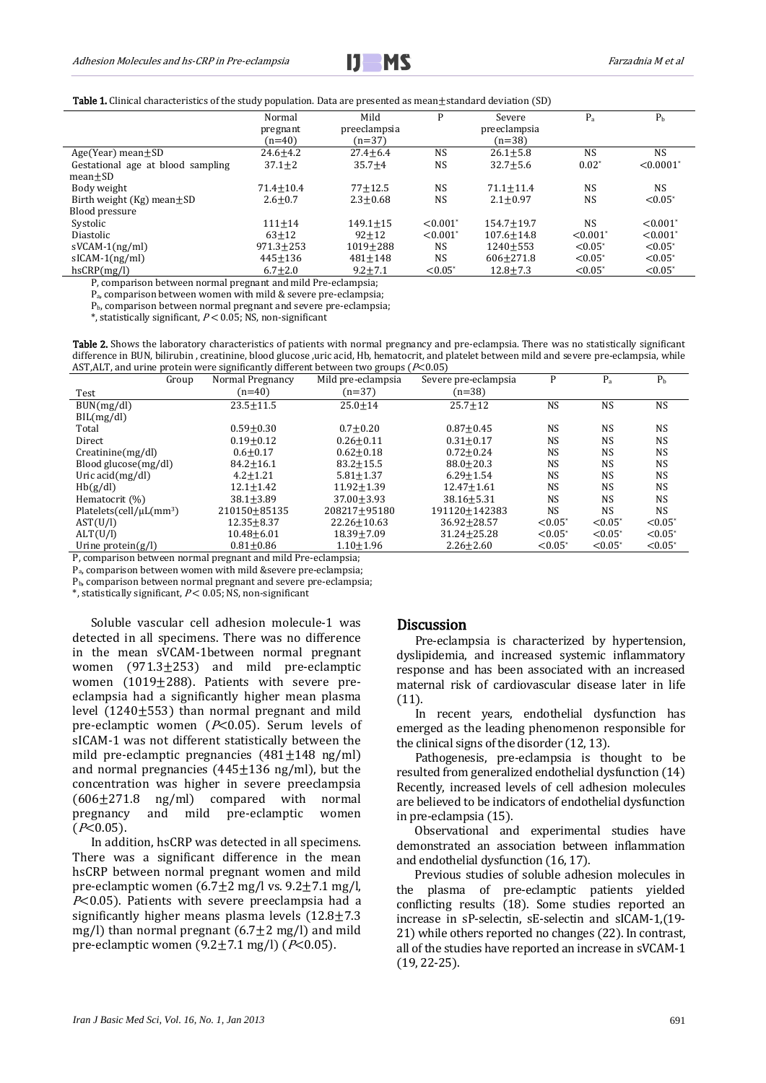

Table 1. Clinical characteristics of the study population. Data are presented as mean $\pm$ standard deviation (SD)

| <b>NS</b>               |
|-------------------------|
| $< 0.0001$ <sup>*</sup> |
|                         |
| <b>NS</b>               |
| $< 0.05^*$              |
|                         |
| $< 0.001$ <sup>*</sup>  |
| $< 0.001$ <sup>*</sup>  |
| $< 0.05^*$              |
| $< 0.05^*$              |
| $< 0.05^*$              |
|                         |

P, comparison between normal pregnant and mild Pre-eclampsia;

Pa, comparison between women with mild & severe pre-eclampsia;

Pb, comparison between normal pregnant and severe pre-eclampsia;

\*, statistically significant,  $P < 0.05$ ; NS, non-significant

Table 2. Shows the laboratory characteristics of patients with normal pregnancy and pre-eclampsia. There was no statistically significant difference in BUN, bilirubin , creatinine, blood glucose ,uric acid, Hb, hematocrit, and platelet between mild and severe pre-eclampsia, while AST, ALT, and urine protein were significantly different between two groups ( $P<0.05$ )

| Group                                     | Normal Pregnancy | Mild pre-eclampsia | Severe pre-eclampsia | P          | $P_{a}$               | P <sub>b</sub> |
|-------------------------------------------|------------------|--------------------|----------------------|------------|-----------------------|----------------|
| Test                                      | $(n=40)$         | $(n=37)$           | $(n=38)$             |            |                       |                |
| BUN(mg/dl)                                | $23.5 \pm 11.5$  | $25.0 + 14$        | $25.7 + 12$          | <b>NS</b>  | <b>NS</b>             | <b>NS</b>      |
| BIL(mg/dl)                                |                  |                    |                      |            |                       |                |
| Total                                     | $0.59 + 0.30$    | $0.7 + 0.20$       | $0.87 + 0.45$        | <b>NS</b>  | <b>NS</b>             | NS             |
| Direct                                    | $0.19 + 0.12$    | $0.26 + 0.11$      | $0.31 + 0.17$        | <b>NS</b>  | NS.                   | <b>NS</b>      |
| Creating(mg/dl)                           | $0.6 + 0.17$     | $0.62 + 0.18$      | $0.72 + 0.24$        | <b>NS</b>  | N <sub>S</sub>        | <b>NS</b>      |
| Blood glucose(mg/dl)                      | $84.2 \pm 16.1$  | $83.2 + 15.5$      | $88.0 + 20.3$        | <b>NS</b>  | NS                    | <b>NS</b>      |
| Uric $\arctan(mg/d)$                      | $4.2 + 1.21$     | $5.81 + 1.37$      | $6.29 + 1.54$        | <b>NS</b>  | <b>NS</b>             | <b>NS</b>      |
| Hb(g/dl)                                  | $12.1 + 1.42$    | $11.92 + 1.39$     | $12.47 + 1.61$       | <b>NS</b>  | <b>NS</b>             | <b>NS</b>      |
| Hematocrit $(\%)$                         | $38.1 + 3.89$    | $37.00 + 3.93$     | $38.16 + 5.31$       | <b>NS</b>  | NS.                   | <b>NS</b>      |
| Platelets(cell/ $\mu$ L(mm <sup>3</sup> ) | 210150+85135     | 208217+95180       | 191120+142383        | <b>NS</b>  | <b>NS</b>             | <b>NS</b>      |
| AST(U/I)                                  | $12.35 + 8.37$   | $22.26 + 10.63$    | $36.92 \pm 28.57$    | $< 0.05^*$ | $< 0.05^*$            | $< 0.05^*$     |
| ALT(U/I)                                  | $10.48 + 6.01$   | $18.39 + 7.09$     | $31.24 + 25.28$      | $< 0.05^*$ | $< 0.05*$             | $< 0.05^*$     |
| Urine protein $(g/l)$                     | $0.81 + 0.86$    | $1.10 + 1.96$      | $2.26 + 2.60$        | $< 0.05^*$ | $< 0.05$ <sup>*</sup> | $< 0.05^*$     |

P, comparison between normal pregnant and mild Pre-eclampsia;

Pa, comparison between women with mild &severe pre-eclampsia;

Pb, comparison between normal pregnant and severe pre-eclampsia;

 $*$ , statistically significant,  $P < 0.05$ ; NS, non-significant

Soluble vascular cell adhesion molecule-1 was detected in all specimens. There was no difference in the mean sVCAM-1between normal pregnant women (971.3±253) and mild pre-eclamptic women (1019±288). Patients with severe preeclampsia had a significantly higher mean plasma level  $(1240\pm553)$  than normal pregnant and mild pre-eclamptic women  $(P<0.05)$ . Serum levels of sICAM-1 was not different statistically between the mild pre-eclamptic pregnancies  $(481 \pm 148 \text{ ng/ml})$ and normal pregnancies  $(445+136 \text{ ng/ml})$ , but the concentration was higher in severe preeclampsia  $(606\pm271.8$  ng/ml) compared with normal<br>pregnancy and mild pre-eclamptic women pre-eclamptic  $(P<0.05)$ .

In addition, hsCRP was detected in all specimens. There was a significant difference in the mean hsCRP between normal pregnant women and mild pre-eclamptic women  $(6.7\pm 2 \text{ mg/l vs. } 9.2\pm 7.1 \text{ mg/l})$ ,  $P<0.05$ ). Patients with severe preeclampsia had a significantly higher means plasma levels  $(12.8 \pm 7.3)$ mg/l) than normal pregnant  $(6.7 \pm 2 \text{ mg/l})$  and mild pre-eclamptic women  $(9.2 \pm 7.1 \text{ mg/l})$  ( $P<0.05$ ).

**Discussion**<br>Pre-eclampsia is characterized by hypertension, dyslipidemia, and increased systemic inflammatory response and has been associated with an increased maternal risk of cardiovascular disease later in life (11).

In recent years, endothelial dysfunction has emerged as the leading phenomenon responsible for the clinical signs of the disorder (12, 13).

Pathogenesis, pre-eclampsia is thought to be resulted from generalized endothelial dysfunction (14) Recently, increased levels of cell adhesion molecules are believed to be indicators of endothelial dysfunction in pre-eclampsia (15).

Observational and experimental studies have demonstrated an association between inflammation and endothelial dysfunction (16, 17).

Previous studies of soluble adhesion molecules in the plasma of pre-eclamptic patients yielded conflicting results (18). Some studies reported an increase in sP-selectin, sE-selectin and sICAM-1,(19- 21) while others reported no changes (22). In contrast, all of the studies have reported an increase in sVCAM-1 (19, 22-25).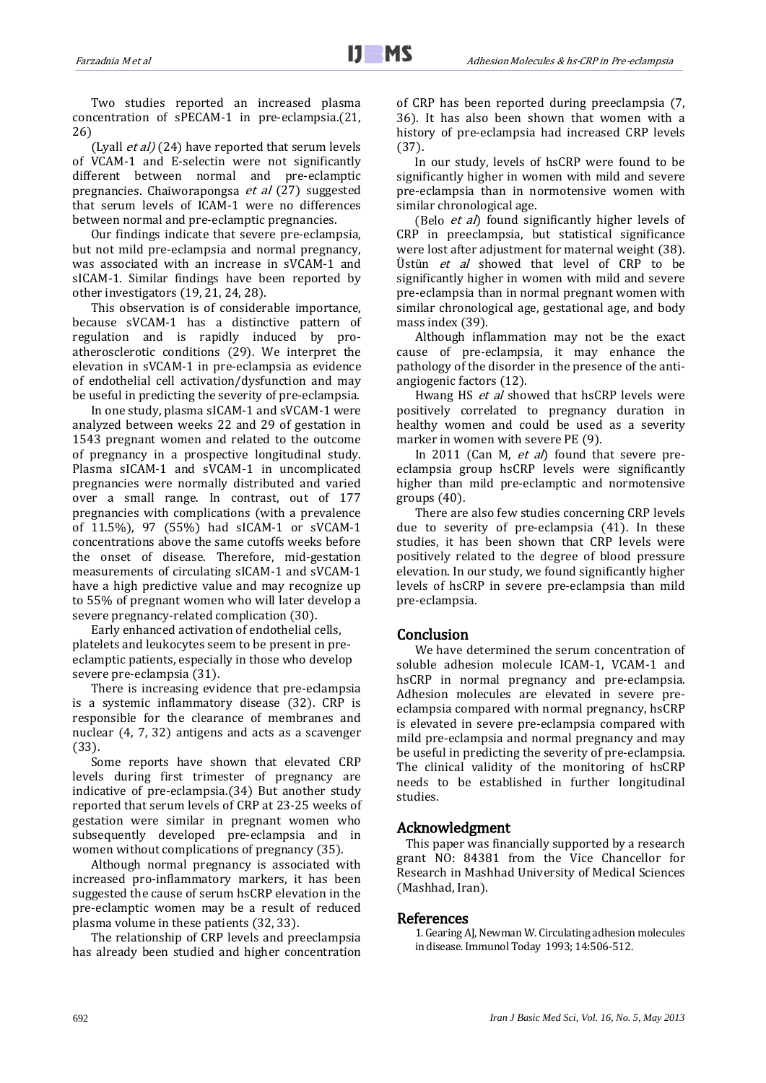Two studies reported an increased plasma concentration of sPECAM-1 in pre-eclampsia.(21, 26)

(Lyall *et al)* (24) have reported that serum levels of VCAM-1 and E-selectin were not significantly different between normal and pre-eclamptic pregnancies. Chaiworapongsa et al (27) suggested that serum levels of ICAM-1 were no differences between normal and pre-eclamptic pregnancies.

Our findings indicate that severe pre-eclampsia, but not mild pre-eclampsia and normal pregnancy, was associated with an increase in sVCAM-1 and sICAM-1. Similar findings have been reported by other investigators (19, 21, 24, 28).

This observation is of considerable importance, because sVCAM-1 has a distinctive pattern of regulation and is rapidly induced by proatherosclerotic conditions (29). We interpret the elevation in sVCAM-1 in pre-eclampsia as evidence of endothelial cell activation/dysfunction and may be useful in predicting the severity of pre-eclampsia.

In one study, plasma sICAM-1 and sVCAM-1 were analyzed between weeks 22 and 29 of gestation in 1543 pregnant women and related to the outcome of pregnancy in a prospective longitudinal study. Plasma sICAM-1 and sVCAM-1 in uncomplicated pregnancies were normally distributed and varied over a small range. In contrast, out of 177 pregnancies with complications (with a prevalence of 11.5%), 97 (55%) had sICAM-1 or sVCAM-1 concentrations above the same cutoffs weeks before the onset of disease. Therefore, mid-gestation measurements of circulating sICAM-1 and sVCAM-1 have a high predictive value and may recognize up to 55% of pregnant women who will later develop a severe pregnancy-related complication (30).

Early enhanced activation of endothelial cells, platelets and leukocytes seem to be present in preeclamptic patients, especially in those who develop severe pre-eclampsia (31).

There is increasing evidence that pre-eclampsia is a systemic inflammatory disease (32). CRP is responsible for the clearance of membranes and nuclear (4, 7, 32) antigens and acts as a scavenger (33).

Some reports have shown that elevated CRP levels during first trimester of pregnancy are indicative of pre-eclampsia.(34) But another study reported that serum levels of CRP at 23-25 weeks of gestation were similar in pregnant women who subsequently developed pre-eclampsia and in women without complications of pregnancy (35).

Although normal pregnancy is associated with increased pro-inflammatory markers, it has been suggested the cause of serum hsCRP elevation in the pre-eclamptic women may be a result of reduced plasma volume in these patients (32, 33).

The relationship of CRP levels and preeclampsia has already been studied and higher concentration of CRP has been reported during preeclampsia (7, 36). It has also been shown that women with a history of pre-eclampsia had increased CRP levels (37).

In our study, levels of hsCRP were found to be significantly higher in women with mild and severe pre-eclampsia than in normotensive women with similar chronological age.

(Belo et al) found significantly higher levels of CRP in preeclampsia, but statistical significance were lost after adjustment for maternal weight (38). Üstün et al showed that level of CRP to be significantly higher in women with mild and severe pre-eclampsia than in normal pregnant women with similar chronological age, gestational age, and body mass index (39).

Although inflammation may not be the exact cause of pre-eclampsia, it may enhance the pathology of the disorder in the presence of the antiangiogenic factors (12).

Hwang HS et al showed that hsCRP levels were positively correlated to pregnancy duration in healthy women and could be used as a severity marker in women with severe PE (9).

In 2011 (Can M,  $et$  al) found that severe preeclampsia group hsCRP levels were significantly higher than mild pre-eclamptic and normotensive groups (40).

There are also few studies concerning CRP levels due to severity of pre-eclampsia (41). In these studies, it has been shown that CRP levels were positively related to the degree of blood pressure elevation. In our study, we found significantly higher levels of hsCRP in severe pre-eclampsia than mild pre-eclampsia.

**Conclusion**<br>We have determined the serum concentration of soluble adhesion molecule ICAM-1, VCAM-1 and hsCRP in normal pregnancy and pre-eclampsia. Adhesion molecules are elevated in severe preeclampsia compared with normal pregnancy, hsCRP is elevated in severe pre-eclampsia compared with mild pre-eclampsia and normal pregnancy and may be useful in predicting the severity of pre-eclampsia. The clinical validity of the monitoring of hsCRP needs to be established in further longitudinal studies.

## Acknowledgment

This paper was financially supported by a research grant NO: 84381 from the Vice Chancellor for Research in Mashhad University of Medical Sciences (Mashhad, Iran).

## References

1. Gearing AJ, Newman W. Circulating adhesion molecules in disease. Immunol Today 1993; 14:506-512.